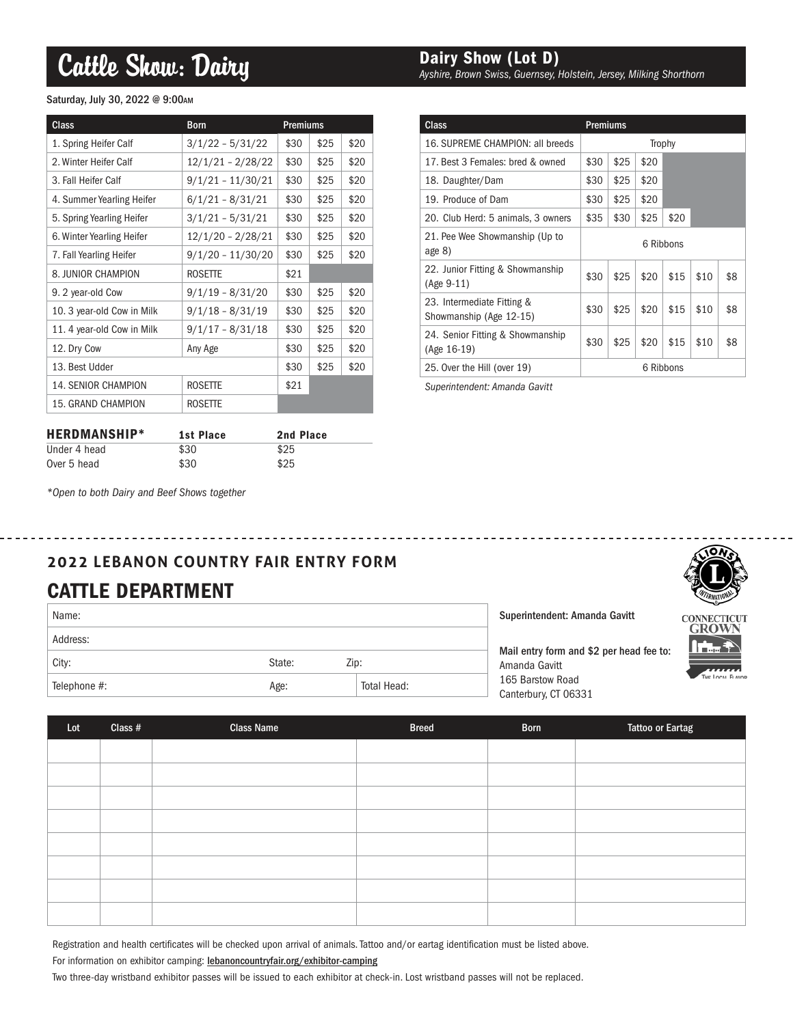# Cattle Show: Dairy

### Saturday, July 30, 2022 @ 9:00AM

| <b>Class</b>               | <b>Born</b>         | Premiums |      |      |
|----------------------------|---------------------|----------|------|------|
| 1. Spring Heifer Calf      | $3/1/22 - 5/31/22$  | \$30     | \$25 | \$20 |
| 2. Winter Heifer Calf      | 12/1/21 - 2/28/22   | \$30     | \$25 | \$20 |
| 3. Fall Heifer Calf        | $9/1/21 - 11/30/21$ | \$30     | \$25 | \$20 |
| 4. Summer Yearling Heifer  | $6/1/21 - 8/31/21$  | \$30     | \$25 | \$20 |
| 5. Spring Yearling Heifer  | $3/1/21 - 5/31/21$  | \$30     | \$25 | \$20 |
| 6. Winter Yearling Heifer  | 12/1/20 - 2/28/21   | \$30     | \$25 | \$20 |
| 7. Fall Yearling Heifer    | $9/1/20 - 11/30/20$ | \$30     | \$25 | \$20 |
| 8. JUNIOR CHAMPION         | <b>ROSETTE</b>      |          |      |      |
| 9. 2 year-old Cow          | $9/1/19 - 8/31/20$  | \$30     | \$25 | \$20 |
| 10. 3 year-old Cow in Milk | $9/1/18 - 8/31/19$  | \$30     | \$25 | \$20 |
| 11.4 year-old Cow in Milk  | $9/1/17 - 8/31/18$  | \$30     | \$25 | \$20 |
| 12. Dry Cow                | Any Age             | \$30     | \$25 | \$20 |
| 13. Best Udder             |                     | \$30     | \$25 | \$20 |
| <b>14. SENIOR CHAMPION</b> | <b>ROSETTE</b>      | \$21     |      |      |
| 15. GRAND CHAMPION         | <b>ROSETTE</b>      |          |      |      |

| <b>HERDMANSHIP*</b> | 1st Place | 2nd Place |
|---------------------|-----------|-----------|
| Under 4 head        | \$30      | \$25      |
| Over 5 head         | \$30      | \$25      |

### Dairy Show (Lot D)

*Ayshire, Brown Swiss, Guernsey, Holstein, Jersey, Milking Shorthorn*

| <b>Class</b>                                          | <b>Premiums</b> |      |      |      |      |     |
|-------------------------------------------------------|-----------------|------|------|------|------|-----|
| 16. SUPREME CHAMPION: all breeds                      | Trophy          |      |      |      |      |     |
| 17. Best 3 Females: bred & owned                      | \$30            | \$25 | \$20 |      |      |     |
| 18. Daughter/Dam                                      | \$30            | \$25 | \$20 |      |      |     |
| 19. Produce of Dam                                    | \$30            | \$25 | \$20 |      |      |     |
| 20. Club Herd: 5 animals, 3 owners                    | \$35            | \$30 | \$25 | \$20 |      |     |
| 21. Pee Wee Showmanship (Up to<br>age $8)$            | 6 Ribbons       |      |      |      |      |     |
| 22. Junior Fitting & Showmanship<br>$(Age 9-11)$      | \$30            | \$25 | \$20 | \$15 | \$10 | \$8 |
| 23. Intermediate Fitting &<br>Showmanship (Age 12-15) | \$30            | \$25 | \$20 | \$15 | \$10 | \$8 |
| 24. Senior Fitting & Showmanship<br>(Age 16-19)       | \$30            | \$25 | \$20 | \$15 | \$10 | \$8 |
| 25. Over the Hill (over 19)                           | 6 Ribbons       |      |      |      |      |     |

*Superintendent: Amanda Gavitt*

*\*Open to both Dairy and Beef Shows together*

## **2022 LEBANON COUNTRY FAIR ENTRY FORM** CATTLE DEPARTMENT

| Name:        |        |             |
|--------------|--------|-------------|
| Address:     |        |             |
| City:        | State: | Zip:        |
| Telephone #: | Age:   | Total Head: |

Superintendent: Amanda Gavitt

Mail entry form and \$2 per head fee to: Amanda Gavitt 165 Barstow Road Canterbury, CT 06331



GROWN

| Lot | Class $#$ | <b>Class Name</b> | <b>Breed</b> | <b>Born</b> | <b>Tattoo or Eartag</b> |
|-----|-----------|-------------------|--------------|-------------|-------------------------|
|     |           |                   |              |             |                         |
|     |           |                   |              |             |                         |
|     |           |                   |              |             |                         |
|     |           |                   |              |             |                         |
|     |           |                   |              |             |                         |
|     |           |                   |              |             |                         |
|     |           |                   |              |             |                         |
|     |           |                   |              |             |                         |

Registration and health certificates will be checked upon arrival of animals. Tattoo and/or eartag identification must be listed above.

For information on exhibitor camping: lebanoncountryfair.org/exhibitor-camping

Two three-day wristband exhibitor passes will be issued to each exhibitor at check-in. Lost wristband passes will not be replaced.